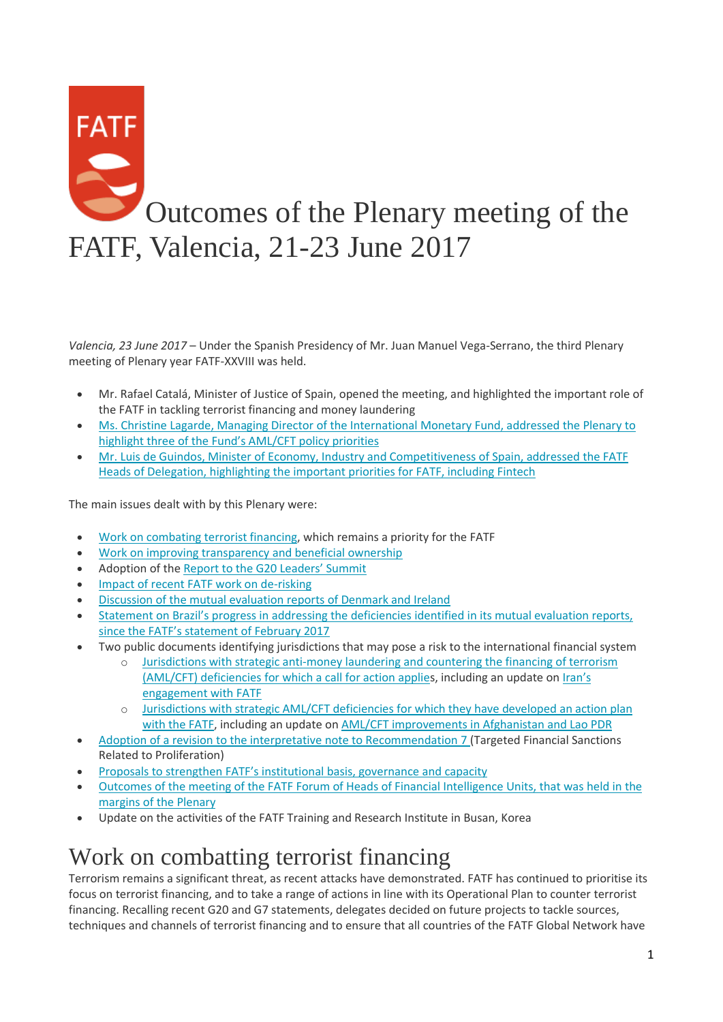# FATF Outcomes of the Plenary meeting of the FATF, Valencia, 21-23 June 2017

*Valencia, 23 June 2017* – Under the Spanish Presidency of Mr. Juan Manuel Vega-Serrano, the third Plenary meeting of Plenary year FATF-XXVIII was held.

- Mr. Rafael Catalá, Minister of Justice of Spain, opened the meeting, and highlighted the important role of the FATF in tackling terrorist financing and money laundering
- [Ms. Christine Lagarde, Managing Director of the International Monetary Fund, addressed the Plenary to](http://www.fatf-gafi.org/publications/fatfgeneral/documents/speech-imf-md-22june2017.html)  [highlight three of the Fund's AML/CFT policy priorities](http://www.fatf-gafi.org/publications/fatfgeneral/documents/speech-imf-md-22june2017.html)
- [Mr. Luis de Guindos, Minister of Economy, Industry and Competitiveness of Spain, addressed the FATF](http://www.fatf-gafi.org/countries/s-t/spain/documents/speech-luis-de-guindos-21june2017.html)  [Heads of Delegation, highlighting the important priorities for FATF, including Fintech](http://www.fatf-gafi.org/countries/s-t/spain/documents/speech-luis-de-guindos-21june2017.html)

The main issues dealt with by this Plenary were:

- [Work on combating terrorist financing,](http://www.fatf-gafi.org/publications/fatfgeneral/documents/outcomes-plenary-june-2017.html#tf) which remains a priority for the FATF
- [Work on improving transparency and beneficial ownership](http://www.fatf-gafi.org/publications/fatfgeneral/documents/outcomes-plenary-june-2017.html#tbo)
- Adoption of the [Report to the G20 Leaders' Summit](http://www.fatf-gafi.org/publications/fatfgeneral/documents/outcomes-plenary-june-2017.html#g20)
- [Impact of recent FATF work on de-risking](http://www.fatf-gafi.org/publications/fatfgeneral/documents/outcomes-plenary-june-2017.html#dr)
- [Discussion of the mutual evaluation reports of Denmark and Ireland](http://www.fatf-gafi.org/publications/fatfgeneral/documents/outcomes-plenary-june-2017.html#mer)
- [Statement on Brazil's progress in addressing the deficiencies identified in its mutual evaluation reports,](http://www.fatf-gafi.org/publications/fatfgeneral/documents/outcomes-plenary-june-2017.html#brazil)  [since the FATF's statement of February 2017](http://www.fatf-gafi.org/publications/fatfgeneral/documents/outcomes-plenary-june-2017.html#brazil)
- Two public documents identifying jurisdictions that may pose a risk to the international financial system
	- o [Jurisdictions with strategic anti-money laundering and countering the financing of terrorism](http://www.fatf-gafi.org/publications/high-riskandnon-cooperativejurisdictions/documents/public-statement-june-2017.html)  [\(AML/CFT\) deficiencies for which a call for action applies](http://www.fatf-gafi.org/publications/high-riskandnon-cooperativejurisdictions/documents/public-statement-june-2017.html), including an update on [Iran's](http://www.fatf-gafi.org/publications/fatfgeneral/documents/outcomes-plenary-june-2017.html#iran)  [engagement with FATF](http://www.fatf-gafi.org/publications/fatfgeneral/documents/outcomes-plenary-june-2017.html#iran)
	- o [Jurisdictions with strategic AML/CFT deficiencies for which they have developed an action plan](http://www.fatf-gafi.org/publications/high-riskandnon-cooperativejurisdictions/documents/fatf-compliance-june-2017.html)  [with the FATF,](http://www.fatf-gafi.org/publications/high-riskandnon-cooperativejurisdictions/documents/fatf-compliance-june-2017.html) including an update on [AML/CFT improvements in Afghanistan and Lao PDR](http://www.fatf-gafi.org/publications/fatfgeneral/documents/outcomes-plenary-june-2017.html#afg_lao)
- [Adoption of a revision to the interpretative note to Recommendation 7](http://www.fatf-gafi.org/publications/fatfgeneral/documents/outcomes-plenary-june-2017.html#r7) (Targeted Financial Sanctions Related to Proliferation)
- [Proposals to strengthen FATF's institutional basis, governance and capacity](http://www.fatf-gafi.org/publications/fatfgeneral/documents/outcomes-plenary-june-2017.html#fatf)
- [Outcomes of the meeting of the FATF Forum of Heads of Financial Intelligence Units, that was held in the](http://www.fatf-gafi.org/publications/fatfgeneral/documents/outcomes-plenary-june-2017.html#FIU)  [margins of the Plenary](http://www.fatf-gafi.org/publications/fatfgeneral/documents/outcomes-plenary-june-2017.html#FIU)
- Update on the activities of the FATF Training and Research Institute in Busan, Korea

#### Work on combatting terrorist financing

Terrorism remains a significant threat, as recent attacks have demonstrated. FATF has continued to prioritise its focus on terrorist financing, and to take a range of actions in line with its Operational Plan to counter terrorist financing. Recalling recent G20 and G7 statements, delegates decided on future projects to tackle sources, techniques and channels of terrorist financing and to ensure that all countries of the FATF Global Network have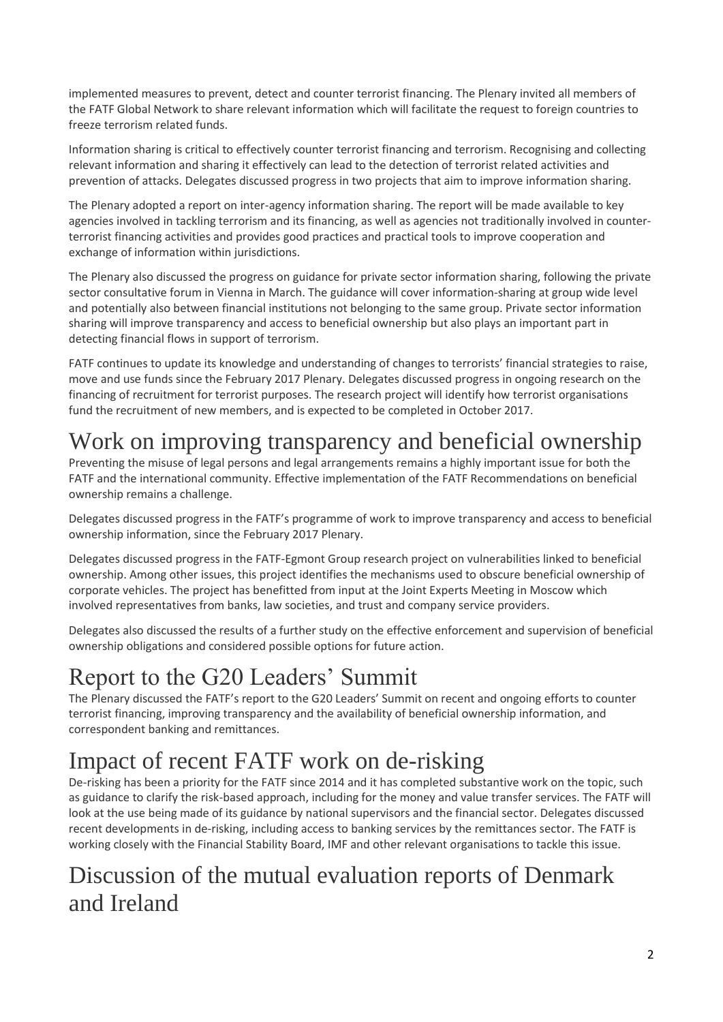implemented measures to prevent, detect and counter terrorist financing. The Plenary invited all members of the FATF Global Network to share relevant information which will facilitate the request to foreign countries to freeze terrorism related funds.

Information sharing is critical to effectively counter terrorist financing and terrorism. Recognising and collecting relevant information and sharing it effectively can lead to the detection of terrorist related activities and prevention of attacks. Delegates discussed progress in two projects that aim to improve information sharing.

The Plenary adopted a report on inter-agency information sharing. The report will be made available to key agencies involved in tackling terrorism and its financing, as well as agencies not traditionally involved in counterterrorist financing activities and provides good practices and practical tools to improve cooperation and exchange of information within jurisdictions.

The Plenary also discussed the progress on guidance for private sector information sharing, following the private sector consultative forum in Vienna in March. The guidance will cover information-sharing at group wide level and potentially also between financial institutions not belonging to the same group. Private sector information sharing will improve transparency and access to beneficial ownership but also plays an important part in detecting financial flows in support of terrorism.

FATF continues to update its knowledge and understanding of changes to terrorists' financial strategies to raise, move and use funds since the February 2017 Plenary. Delegates discussed progress in ongoing research on the financing of recruitment for terrorist purposes. The research project will identify how terrorist organisations fund the recruitment of new members, and is expected to be completed in October 2017.

## Work on improving transparency and beneficial ownership

Preventing the misuse of legal persons and legal arrangements remains a highly important issue for both the FATF and the international community. Effective implementation of the FATF Recommendations on beneficial ownership remains a challenge.

Delegates discussed progress in the FATF's programme of work to improve transparency and access to beneficial ownership information, since the February 2017 Plenary.

Delegates discussed progress in the FATF-Egmont Group research project on vulnerabilities linked to beneficial ownership. Among other issues, this project identifies the mechanisms used to obscure beneficial ownership of corporate vehicles. The project has benefitted from input at the Joint Experts Meeting in Moscow which involved representatives from banks, law societies, and trust and company service providers.

Delegates also discussed the results of a further study on the effective enforcement and supervision of beneficial ownership obligations and considered possible options for future action.

# Report to the G20 Leaders' Summit

The Plenary discussed the FATF's report to the G20 Leaders' Summit on recent and ongoing efforts to counter terrorist financing, improving transparency and the availability of beneficial ownership information, and correspondent banking and remittances.

# Impact of recent FATF work on de-risking

De-risking has been a priority for the FATF since 2014 and it has completed substantive work on the topic, such as guidance to clarify the risk-based approach, including for the money and value transfer services. The FATF will look at the use being made of its guidance by national supervisors and the financial sector. Delegates discussed recent developments in de-risking, including access to banking services by the remittances sector. The FATF is working closely with the Financial Stability Board, IMF and other relevant organisations to tackle this issue.

## Discussion of the mutual evaluation reports of Denmark and Ireland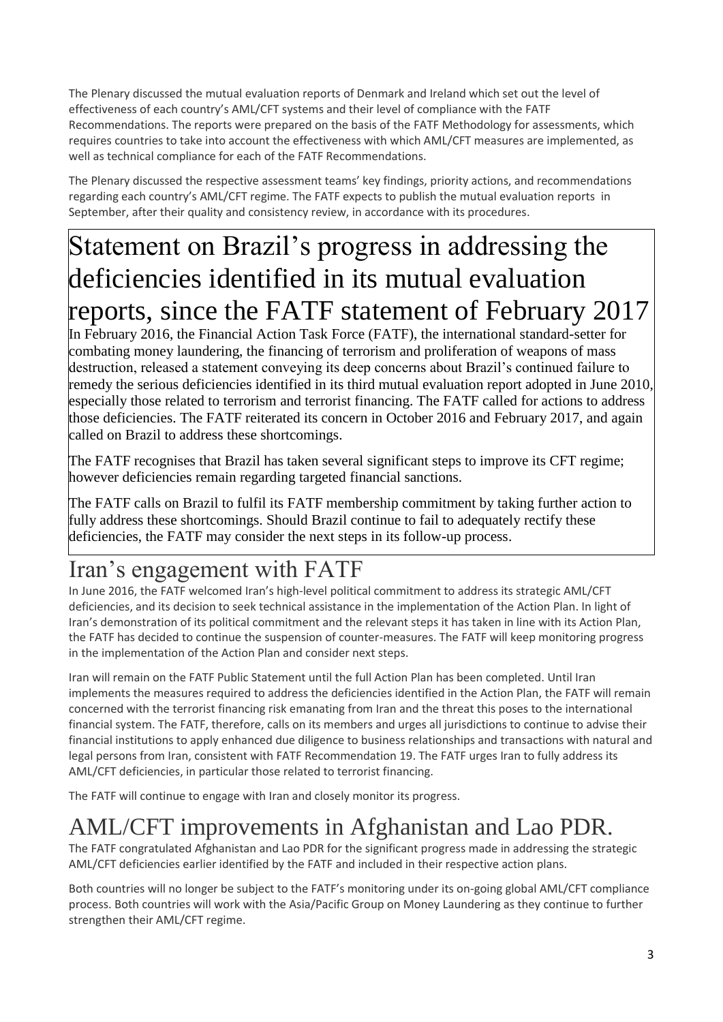The Plenary discussed the mutual evaluation reports of Denmark and Ireland which set out the level of effectiveness of each country's AML/CFT systems and their level of compliance with the FATF Recommendations. The reports were prepared on the basis of the FATF Methodology for assessments, which requires countries to take into account the effectiveness with which AML/CFT measures are implemented, as well as technical compliance for each of the FATF Recommendations.

The Plenary discussed the respective assessment teams' key findings, priority actions, and recommendations regarding each country's AML/CFT regime. The FATF expects to publish the mutual evaluation reports in September, after their quality and consistency review, in accordance with its procedures.

# Statement on Brazil's progress in addressing the deficiencies identified in its mutual evaluation reports, since the FATF statement of February 2017

In February 2016, the Financial Action Task Force (FATF), the international standard-setter for combating money laundering, the financing of terrorism and proliferation of weapons of mass destruction, released a statement conveying its deep concerns about Brazil's continued failure to remedy the serious deficiencies identified in its third mutual evaluation report adopted in June 2010, especially those related to terrorism and terrorist financing. The FATF called for actions to address those deficiencies. The FATF reiterated its concern in October 2016 and February 2017, and again called on Brazil to address these shortcomings.

The FATF recognises that Brazil has taken several significant steps to improve its CFT regime; however deficiencies remain regarding targeted financial sanctions.

The FATF calls on Brazil to fulfil its FATF membership commitment by taking further action to fully address these shortcomings. Should Brazil continue to fail to adequately rectify these deficiencies, the FATF may consider the next steps in its follow-up process.

# Iran's engagement with FATF

In June 2016, the FATF welcomed Iran's high-level political commitment to address its strategic AML/CFT deficiencies, and its decision to seek technical assistance in the implementation of the Action Plan. In light of Iran's demonstration of its political commitment and the relevant steps it has taken in line with its Action Plan, the FATF has decided to continue the suspension of counter-measures. The FATF will keep monitoring progress in the implementation of the Action Plan and consider next steps.

Iran will remain on the FATF Public Statement until the full Action Plan has been completed. Until Iran implements the measures required to address the deficiencies identified in the Action Plan, the FATF will remain concerned with the terrorist financing risk emanating from Iran and the threat this poses to the international financial system. The FATF, therefore, calls on its members and urges all jurisdictions to continue to advise their financial institutions to apply enhanced due diligence to business relationships and transactions with natural and legal persons from Iran, consistent with FATF Recommendation 19. The FATF urges Iran to fully address its AML/CFT deficiencies, in particular those related to terrorist financing.

The FATF will continue to engage with Iran and closely monitor its progress.

# AML/CFT improvements in Afghanistan and Lao PDR.

The FATF congratulated Afghanistan and Lao PDR for the significant progress made in addressing the strategic AML/CFT deficiencies earlier identified by the FATF and included in their respective action plans.

Both countries will no longer be subject to the FATF's monitoring under its on-going global AML/CFT compliance process. Both countries will work with the Asia/Pacific Group on Money Laundering as they continue to further strengthen their AML/CFT regime.